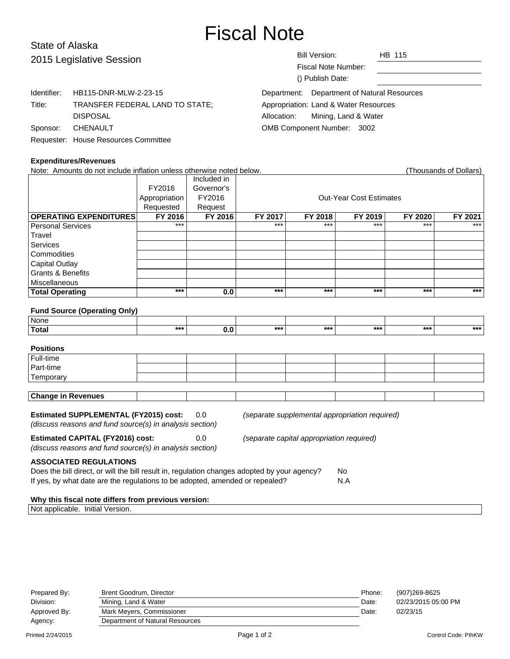# Fiscal Note

# State of Alaska 2015 Leg

| 2015 Legislative Session |                                      | <b>Bill Version:</b><br>HB 115<br>Fiscal Note Number: |  |
|--------------------------|--------------------------------------|-------------------------------------------------------|--|
|                          |                                      | () Publish Date:                                      |  |
| Identifier:              | HB115-DNR-MLW-2-23-15                | Department of Natural Resources<br>Department:        |  |
| Title:                   | TRANSFER FEDERAL LAND TO STATE;      | Appropriation: Land & Water Resources                 |  |
|                          | <b>DISPOSAL</b>                      | Mining, Land & Water<br>Allocation:                   |  |
| Sponsor:                 | <b>CHENAULT</b>                      | OMB Component Number: 3002                            |  |
|                          | Requester: House Resources Committee |                                                       |  |

## **Expenditures/Revenues**

| Note: Amounts do not include inflation unless otherwise noted below.                                     |               |             |                                                |         |                                |         | (Thousands of Dollars) |
|----------------------------------------------------------------------------------------------------------|---------------|-------------|------------------------------------------------|---------|--------------------------------|---------|------------------------|
|                                                                                                          |               | Included in |                                                |         |                                |         |                        |
|                                                                                                          | FY2016        | Governor's  |                                                |         |                                |         |                        |
|                                                                                                          | Appropriation | FY2016      |                                                |         | <b>Out-Year Cost Estimates</b> |         |                        |
|                                                                                                          | Requested     | Request     |                                                |         |                                |         |                        |
| <b>OPERATING EXPENDITURES</b>                                                                            | FY 2016       | FY 2016     | FY 2017                                        | FY 2018 | FY 2019                        | FY 2020 | FY 2021                |
| <b>Personal Services</b>                                                                                 | ***           |             | $***$                                          | ***     | ***                            | ***     | ***                    |
| Travel                                                                                                   |               |             |                                                |         |                                |         |                        |
| <b>Services</b>                                                                                          |               |             |                                                |         |                                |         |                        |
| Commodities                                                                                              |               |             |                                                |         |                                |         |                        |
| <b>Capital Outlay</b>                                                                                    |               |             |                                                |         |                                |         |                        |
| <b>Grants &amp; Benefits</b>                                                                             |               |             |                                                |         |                                |         |                        |
| Miscellaneous                                                                                            |               |             |                                                |         |                                |         |                        |
| <b>Total Operating</b>                                                                                   | $***$         | 0.0         | ***                                            | $***$   | $***$                          | ***     | $***$                  |
| <b>Fund Source (Operating Only)</b>                                                                      |               |             |                                                |         |                                |         |                        |
| <b>None</b>                                                                                              |               |             |                                                |         |                                |         |                        |
| <b>Total</b>                                                                                             | $***$         | 0.0         | $***$                                          | $***$   | $***$                          | $***$   | ***                    |
| <b>Positions</b>                                                                                         |               |             |                                                |         |                                |         |                        |
| Full-time                                                                                                |               |             |                                                |         |                                |         |                        |
| Part-time                                                                                                |               |             |                                                |         |                                |         |                        |
| Temporary                                                                                                |               |             |                                                |         |                                |         |                        |
| <b>Change in Revenues</b>                                                                                |               |             |                                                |         |                                |         |                        |
| <b>Estimated SUPPLEMENTAL (FY2015) cost:</b><br>(discuss reasons and fund source(s) in analysis section) |               | 0.0         | (separate supplemental appropriation required) |         |                                |         |                        |

**Estimated CAPITAL (FY2016) cost:** 0.0 (separate capital appropriation required) (discuss reasons and fund source(s) in analysis section)

# **ASSOCIATED REGULATIONS**

| ASSUCIATED REGULATIONS                                                                       |     |
|----------------------------------------------------------------------------------------------|-----|
| Does the bill direct, or will the bill result in, regulation changes adopted by your agency? | No. |
| If yes, by what date are the regulations to be adopted, amended or repealed?                 | N.A |

## **Why this fiscal note differs from previous version:**

Not applicable. Initial Version.

| Prepared By: | Brent Goodrum, Director         | Phone: | (907)269-8625       |
|--------------|---------------------------------|--------|---------------------|
| Division:    | Mining, Land & Water            | Date:  | 02/23/2015 05:00 PM |
| Approved By: | Mark Meyers, Commissioner       | Date:  | 02/23/15            |
| Agency:      | Department of Natural Resources |        |                     |